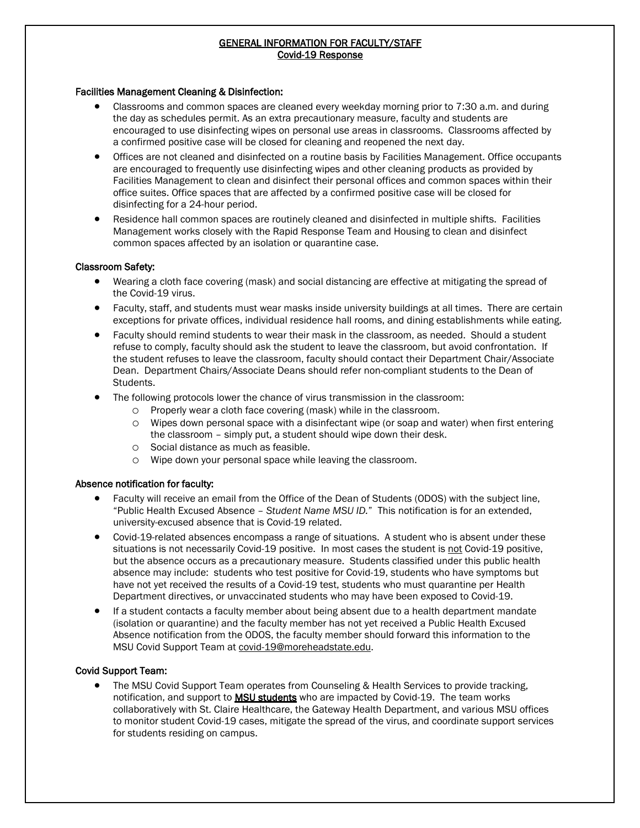# GENERAL INFORMATION FOR FACULTY/STAFF Covid-19 Response

#### Facilities Management Cleaning & Disinfection:

- Classrooms and common spaces are cleaned every weekday morning prior to 7:30 a.m. and during the day as schedules permit. As an extra precautionary measure, faculty and students are encouraged to use disinfecting wipes on personal use areas in classrooms. Classrooms affected by a confirmed positive case will be closed for cleaning and reopened the next day.
- Offices are not cleaned and disinfected on a routine basis by Facilities Management. Office occupants are encouraged to frequently use disinfecting wipes and other cleaning products as provided by Facilities Management to clean and disinfect their personal offices and common spaces within their office suites. Office spaces that are affected by a confirmed positive case will be closed for disinfecting for a 24-hour period.
- Residence hall common spaces are routinely cleaned and disinfected in multiple shifts. Facilities Management works closely with the Rapid Response Team and Housing to clean and disinfect common spaces affected by an isolation or quarantine case.

#### Classroom Safety:

- Wearing a cloth face covering (mask) and social distancing are effective at mitigating the spread of the Covid-19 virus.
- Faculty, staff, and students must wear masks inside university buildings at all times. There are certain exceptions for private offices, individual residence hall rooms, and dining establishments while eating.
- Faculty should remind students to wear their mask in the classroom, as needed. Should a student refuse to comply, faculty should ask the student to leave the classroom, but avoid confrontation. If the student refuses to leave the classroom, faculty should contact their Department Chair/Associate Dean. Department Chairs/Associate Deans should refer non-compliant students to the Dean of Students.
- The following protocols lower the chance of virus transmission in the classroom:
	- o Properly wear a cloth face covering (mask) while in the classroom.
	- o Wipes down personal space with a disinfectant wipe (or soap and water) when first entering the classroom – simply put, a student should wipe down their desk.
	- o Social distance as much as feasible.
	- o Wipe down your personal space while leaving the classroom.

## Absence notification for faculty:

- Faculty will receive an email from the Office of the Dean of Students (ODOS) with the subject line, "Public Health Excused Absence – *Student Name MSU ID.*" This notification is for an extended, university-excused absence that is Covid-19 related.
- Covid-19-related absences encompass a range of situations. A student who is absent under these situations is not necessarily Covid-19 positive. In most cases the student is not Covid-19 positive, but the absence occurs as a precautionary measure. Students classified under this public health absence may include: students who test positive for Covid-19, students who have symptoms but have not yet received the results of a Covid-19 test, students who must quarantine per Health Department directives, or unvaccinated students who may have been exposed to Covid-19.
- If a student contacts a faculty member about being absent due to a health department mandate (isolation or quarantine) and the faculty member has not yet received a Public Health Excused Absence notification from the ODOS, the faculty member should forward this information to the MSU Covid Support Team at [covid-19@moreheadstate.edu.](mailto:covid-19@moreheadstate.edu)

## Covid Support Team:

j

• The MSU Covid Support Team operates from Counseling & Health Services to provide tracking, notification, and support to **MSU students** who are impacted by Covid-19. The team works collaboratively with St. Claire Healthcare, the Gateway Health Department, and various MSU offices to monitor student Covid-19 cases, mitigate the spread of the virus, and coordinate support services for students residing on campus.